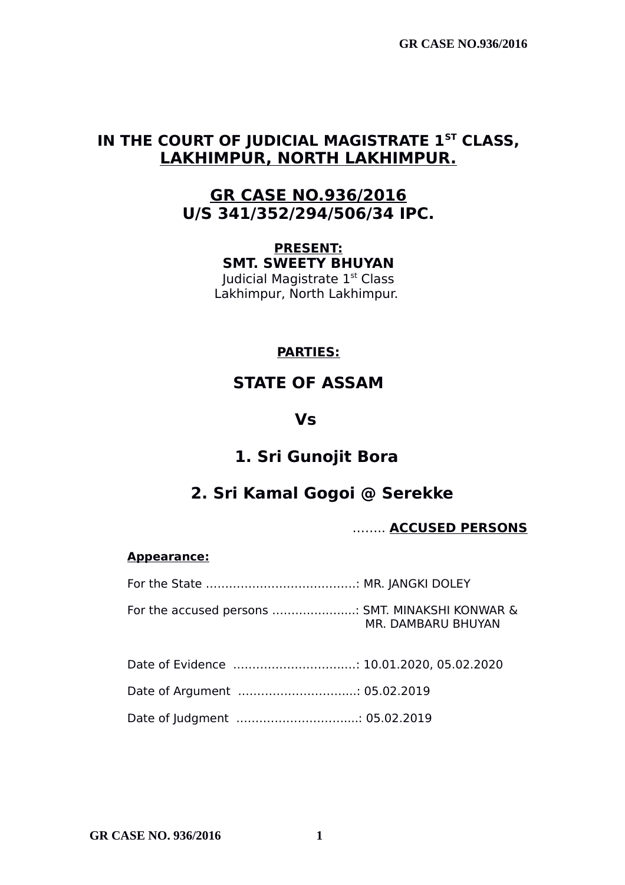**GR CASE NO.936/2016**

# **IN THE COURT OF JUDICIAL MAGISTRATE 1ST CLASS, LAKHIMPUR, NORTH LAKHIMPUR.**

## **GR CASE NO.936/2016 U/S 341/352/294/506/34 IPC.**

**PRESENT: SMT. SWEETY BHUYAN**

Judicial Magistrate 1st Class Lakhimpur, North Lakhimpur.

## **PARTIES:**

# **STATE OF ASSAM**

### **Vs**

# **1. Sri Gunojit Bora**

# **2. Sri Kamal Gogoi @ Serekke**

### …….. **ACCUSED PERSONS**

#### **Appearance:**

| For the accused persons  SMT. MINAKSHI KONWAR & | MR. DAMBARU BHUYAN |
|-------------------------------------------------|--------------------|
| Date of Evidence  10.01.2020, 05.02.2020        |                    |

# Date of Argument .………………………...: 05.02.2019

Date of Judgment .………………………....: 05.02.2019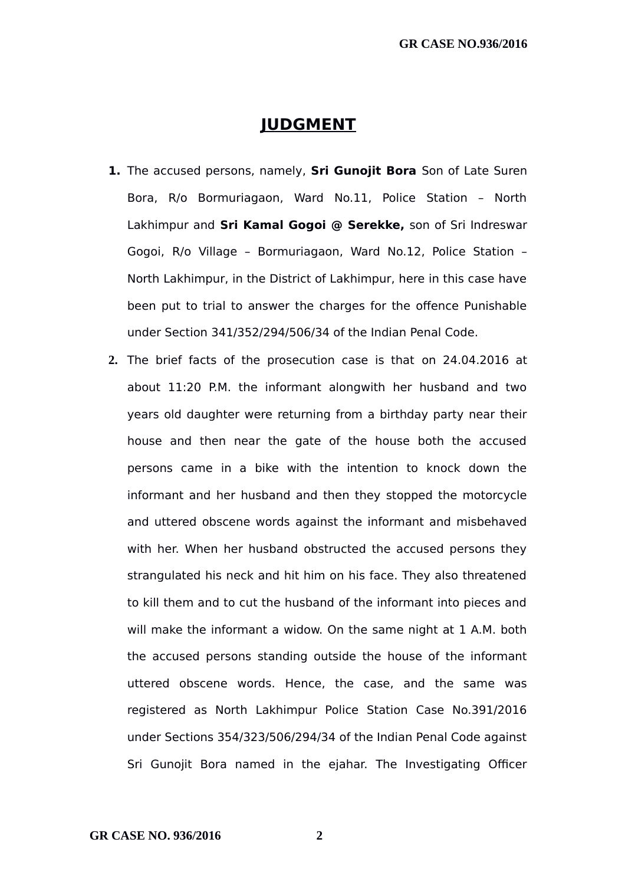### **JUDGMENT**

- **1.** The accused persons, namely, **Sri Gunojit Bora** Son of Late Suren Bora, R/o Bormuriagaon, Ward No.11, Police Station – North Lakhimpur and **Sri Kamal Gogoi @ Serekke,** son of Sri Indreswar Gogoi, R/o Village – Bormuriagaon, Ward No.12, Police Station – North Lakhimpur, in the District of Lakhimpur, here in this case have been put to trial to answer the charges for the offence Punishable under Section 341/352/294/506/34 of the Indian Penal Code.
- **2.** The brief facts of the prosecution case is that on 24.04.2016 at about 11:20 P.M. the informant alongwith her husband and two years old daughter were returning from a birthday party near their house and then near the gate of the house both the accused persons came in a bike with the intention to knock down the informant and her husband and then they stopped the motorcycle and uttered obscene words against the informant and misbehaved with her. When her husband obstructed the accused persons they strangulated his neck and hit him on his face. They also threatened to kill them and to cut the husband of the informant into pieces and will make the informant a widow. On the same night at 1 A.M. both the accused persons standing outside the house of the informant uttered obscene words. Hence, the case, and the same was registered as North Lakhimpur Police Station Case No.391/2016 under Sections 354/323/506/294/34 of the Indian Penal Code against Sri Gunojit Bora named in the ejahar. The Investigating Officer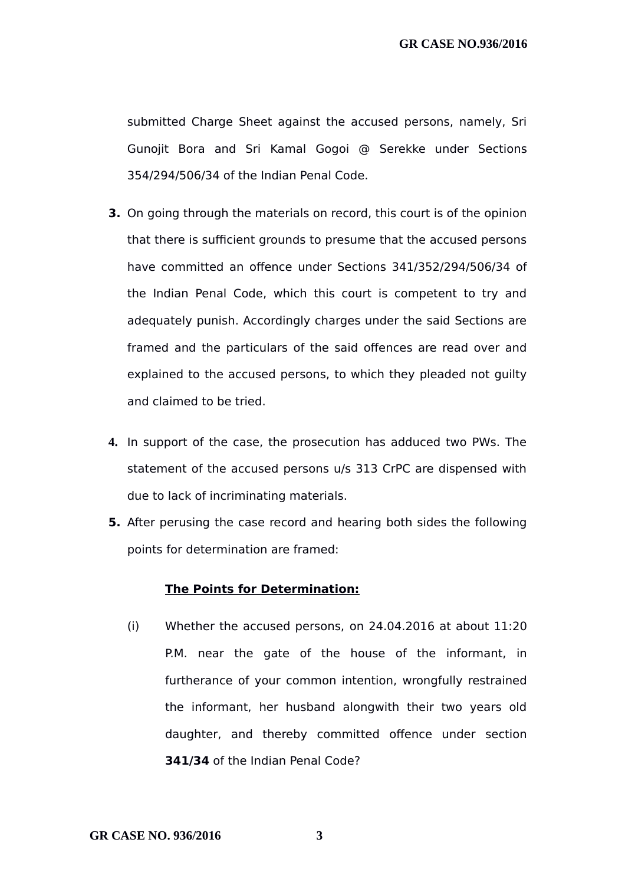submitted Charge Sheet against the accused persons, namely, Sri Gunojit Bora and Sri Kamal Gogoi @ Serekke under Sections 354/294/506/34 of the Indian Penal Code.

- **3.** On going through the materials on record, this court is of the opinion that there is sufficient grounds to presume that the accused persons have committed an offence under Sections 341/352/294/506/34 of the Indian Penal Code, which this court is competent to try and adequately punish. Accordingly charges under the said Sections are framed and the particulars of the said offences are read over and explained to the accused persons, to which they pleaded not guilty and claimed to be tried.
- **4.** In support of the case, the prosecution has adduced two PWs. The statement of the accused persons u/s 313 CrPC are dispensed with due to lack of incriminating materials.
- **5.** After perusing the case record and hearing both sides the following points for determination are framed:

#### **The Points for Determination:**

(i) Whether the accused persons, on 24.04.2016 at about 11:20 P.M. near the gate of the house of the informant, in furtherance of your common intention, wrongfully restrained the informant, her husband alongwith their two years old daughter, and thereby committed offence under section **341/34** of the Indian Penal Code?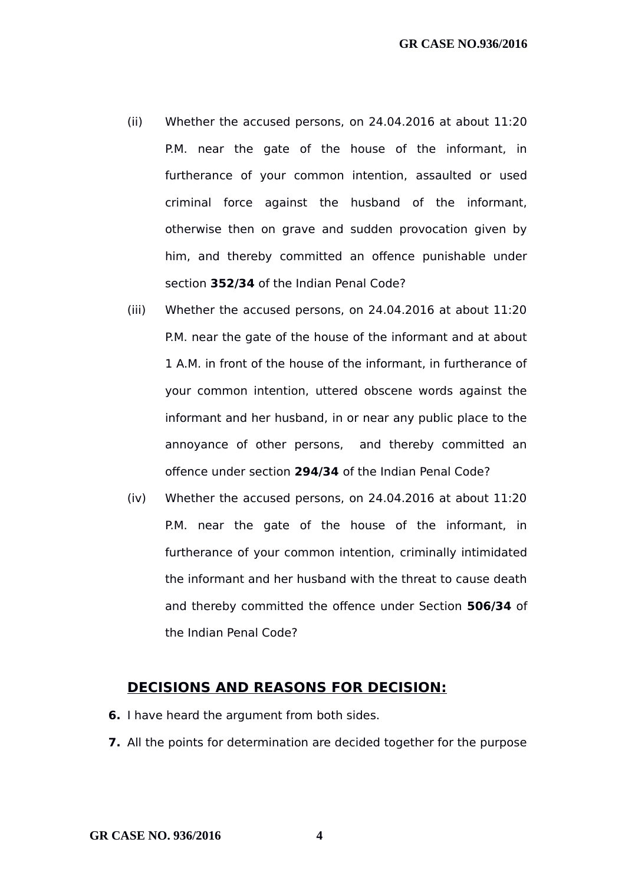- (ii) Whether the accused persons, on 24.04.2016 at about 11:20 P.M. near the gate of the house of the informant, in furtherance of your common intention, assaulted or used criminal force against the husband of the informant, otherwise then on grave and sudden provocation given by him, and thereby committed an offence punishable under section **352/34** of the Indian Penal Code?
- (iii) Whether the accused persons, on 24.04.2016 at about 11:20 P.M. near the gate of the house of the informant and at about 1 A.M. in front of the house of the informant, in furtherance of your common intention, uttered obscene words against the informant and her husband, in or near any public place to the annoyance of other persons, and thereby committed an offence under section **294/34** of the Indian Penal Code?
- (iv) Whether the accused persons, on 24.04.2016 at about 11:20 P.M. near the gate of the house of the informant, in furtherance of your common intention, criminally intimidated the informant and her husband with the threat to cause death and thereby committed the offence under Section **506/34** of the Indian Penal Code?

### **DECISIONS AND REASONS FOR DECISION:**

- **6.** I have heard the argument from both sides.
- **7.** All the points for determination are decided together for the purpose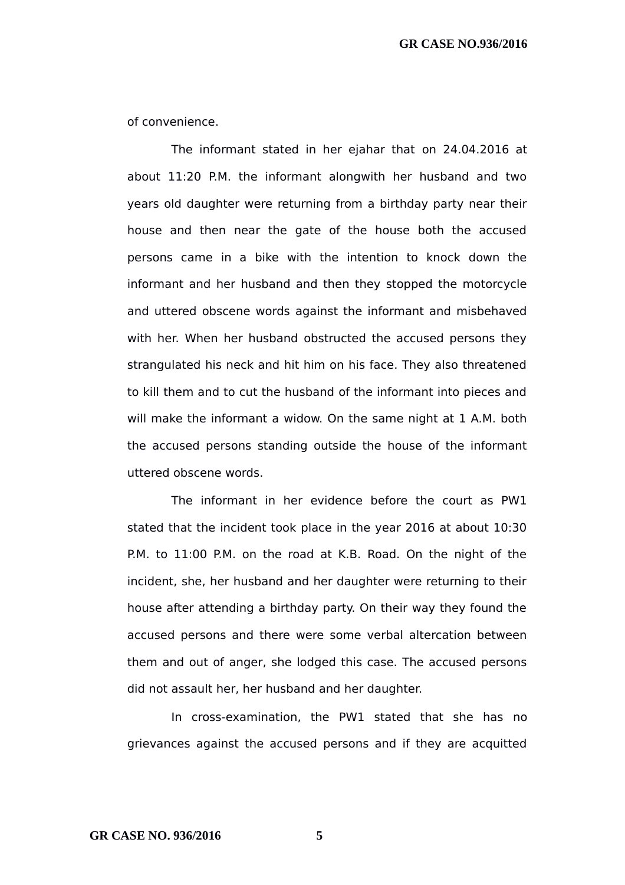of convenience.

The informant stated in her ejahar that on 24.04.2016 at about 11:20 P.M. the informant alongwith her husband and two years old daughter were returning from a birthday party near their house and then near the gate of the house both the accused persons came in a bike with the intention to knock down the informant and her husband and then they stopped the motorcycle and uttered obscene words against the informant and misbehaved with her. When her husband obstructed the accused persons they strangulated his neck and hit him on his face. They also threatened to kill them and to cut the husband of the informant into pieces and will make the informant a widow. On the same night at 1 A.M. both the accused persons standing outside the house of the informant uttered obscene words.

The informant in her evidence before the court as PW1 stated that the incident took place in the year 2016 at about 10:30 P.M. to 11:00 P.M. on the road at K.B. Road. On the night of the incident, she, her husband and her daughter were returning to their house after attending a birthday party. On their way they found the accused persons and there were some verbal altercation between them and out of anger, she lodged this case. The accused persons did not assault her, her husband and her daughter.

In cross-examination, the PW1 stated that she has no grievances against the accused persons and if they are acquitted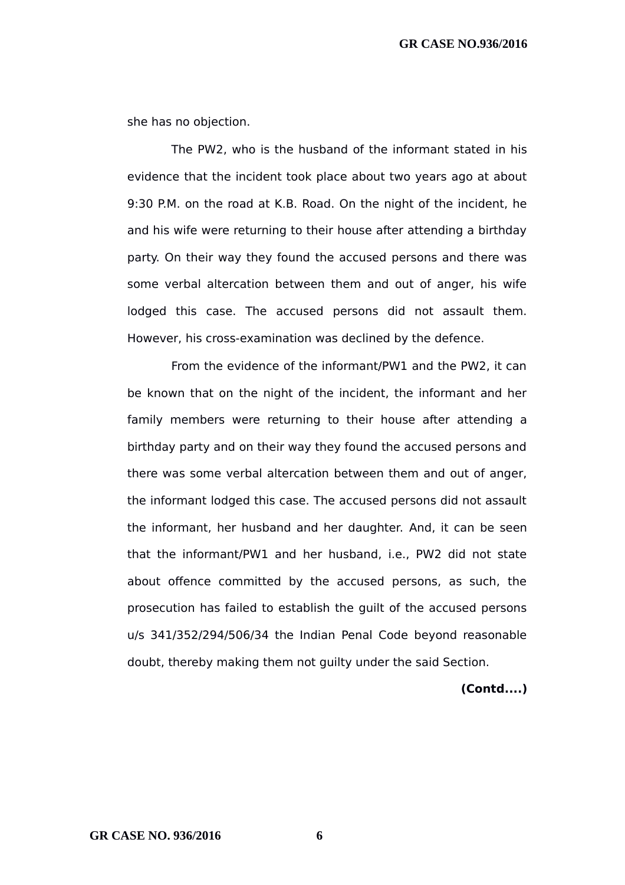she has no objection.

The PW2, who is the husband of the informant stated in his evidence that the incident took place about two years ago at about 9:30 P.M. on the road at K.B. Road. On the night of the incident, he and his wife were returning to their house after attending a birthday party. On their way they found the accused persons and there was some verbal altercation between them and out of anger, his wife lodged this case. The accused persons did not assault them. However, his cross-examination was declined by the defence.

From the evidence of the informant/PW1 and the PW2, it can be known that on the night of the incident, the informant and her family members were returning to their house after attending a birthday party and on their way they found the accused persons and there was some verbal altercation between them and out of anger, the informant lodged this case. The accused persons did not assault the informant, her husband and her daughter. And, it can be seen that the informant/PW1 and her husband, i.e., PW2 did not state about offence committed by the accused persons, as such, the prosecution has failed to establish the guilt of the accused persons u/s 341/352/294/506/34 the Indian Penal Code beyond reasonable doubt, thereby making them not guilty under the said Section.

**(Contd....)**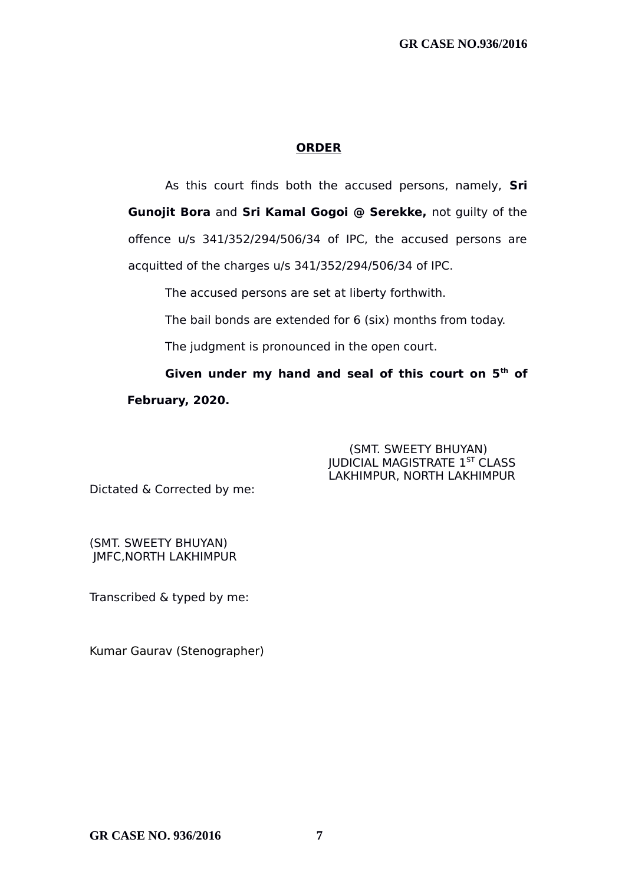#### **ORDER**

As this court finds both the accused persons, namely, **Sri Gunojit Bora** and **Sri Kamal Gogoi @ Serekke,** not guilty of the offence u/s 341/352/294/506/34 of IPC, the accused persons are acquitted of the charges u/s 341/352/294/506/34 of IPC.

The accused persons are set at liberty forthwith.

The bail bonds are extended for 6 (six) months from today.

The judgment is pronounced in the open court.

**Given under my hand and seal of this court on 5th of February, 2020.**

> (SMT. SWEETY BHUYAN) **JUDICIAL MAGISTRATE 1ST CLASS** LAKHIMPUR, NORTH LAKHIMPUR

Dictated & Corrected by me:

(SMT. SWEETY BHUYAN) JMFC,NORTH LAKHIMPUR

Transcribed & typed by me:

Kumar Gaurav (Stenographer)